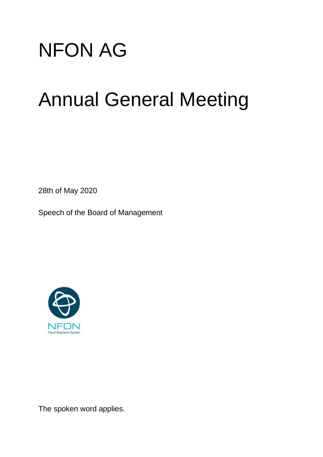

## Annual General Meeting

28th of May 2020

Speech of the Board of Management



The spoken word applies.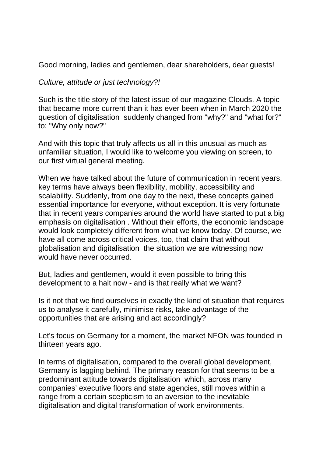Good morning, ladies and gentlemen, dear shareholders, dear guests!

## *Culture, attitude or just technology?!*

Such is the title story of the latest issue of our magazine Clouds. A topic that became more current than it has ever been when in March 2020 the question of digitalisation suddenly changed from "why?" and "what for?" to: "Why only now?"

And with this topic that truly affects us all in this unusual as much as unfamiliar situation, I would like to welcome you viewing on screen, to our first virtual general meeting.

When we have talked about the future of communication in recent years, key terms have always been flexibility, mobility, accessibility and scalability. Suddenly, from one day to the next, these concepts gained essential importance for everyone, without exception. It is very fortunate that in recent years companies around the world have started to put a big emphasis on digitalisation . Without their efforts, the economic landscape would look completely different from what we know today. Of course, we have all come across critical voices, too, that claim that without globalisation and digitalisation the situation we are witnessing now would have never occurred.

But, ladies and gentlemen, would it even possible to bring this development to a halt now - and is that really what we want?

Is it not that we find ourselves in exactly the kind of situation that requires us to analyse it carefully, minimise risks, take advantage of the opportunities that are arising and act accordingly?

Let's focus on Germany for a moment, the market NFON was founded in thirteen years ago.

In terms of digitalisation, compared to the overall global development, Germany is lagging behind. The primary reason for that seems to be a predominant attitude towards digitalisation which, across many companies' executive floors and state agencies, still moves within a range from a certain scepticism to an aversion to the inevitable digitalisation and digital transformation of work environments.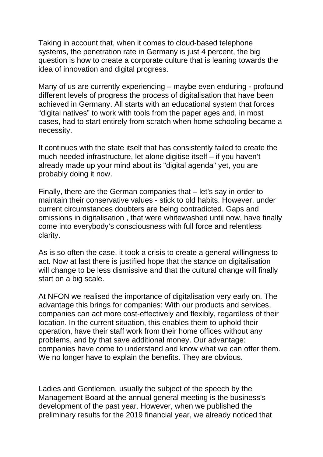Taking in account that, when it comes to cloud-based telephone systems, the penetration rate in Germany is just 4 percent, the big question is how to create a corporate culture that is leaning towards the idea of innovation and digital progress.

Many of us are currently experiencing – maybe even enduring - profound different levels of progress the process of digitalisation that have been achieved in Germany. All starts with an educational system that forces "digital natives" to work with tools from the paper ages and, in most cases, had to start entirely from scratch when home schooling became a necessity.

It continues with the state itself that has consistently failed to create the much needed infrastructure, let alone digitise itself – if you haven't already made up your mind about its "digital agenda" yet, you are probably doing it now.

Finally, there are the German companies that – let's say in order to maintain their conservative values - stick to old habits. However, under current circumstances doubters are being contradicted. Gaps and omissions in digitalisation , that were whitewashed until now, have finally come into everybody's consciousness with full force and relentless clarity.

As is so often the case, it took a crisis to create a general willingness to act. Now at last there is justified hope that the stance on digitalisation will change to be less dismissive and that the cultural change will finally start on a big scale.

At NFON we realised the importance of digitalisation very early on. The advantage this brings for companies: With our products and services, companies can act more cost-effectively and flexibly, regardless of their location. In the current situation, this enables them to uphold their operation, have their staff work from their home offices without any problems, and by that save additional money. Our advantage: companies have come to understand and know what we can offer them. We no longer have to explain the benefits. They are obvious.

Ladies and Gentlemen, usually the subject of the speech by the Management Board at the annual general meeting is the business's development of the past year. However, when we published the preliminary results for the 2019 financial year, we already noticed that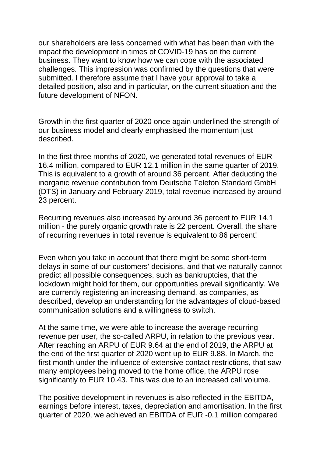our shareholders are less concerned with what has been than with the impact the development in times of COVID-19 has on the current business. They want to know how we can cope with the associated challenges. This impression was confirmed by the questions that were submitted. I therefore assume that I have your approval to take a detailed position, also and in particular, on the current situation and the future development of NFON.

Growth in the first quarter of 2020 once again underlined the strength of our business model and clearly emphasised the momentum just described.

In the first three months of 2020, we generated total revenues of EUR 16.4 million, compared to EUR 12.1 million in the same quarter of 2019. This is equivalent to a growth of around 36 percent. After deducting the inorganic revenue contribution from Deutsche Telefon Standard GmbH (DTS) in January and February 2019, total revenue increased by around 23 percent.

Recurring revenues also increased by around 36 percent to EUR 14.1 million - the purely organic growth rate is 22 percent. Overall, the share of recurring revenues in total revenue is equivalent to 86 percent!

Even when you take in account that there might be some short-term delays in some of our customers' decisions, and that we naturally cannot predict all possible consequences, such as bankruptcies, that the lockdown might hold for them, our opportunities prevail significantly. We are currently registering an increasing demand, as companies, as described, develop an understanding for the advantages of cloud-based communication solutions and a willingness to switch.

At the same time, we were able to increase the average recurring revenue per user, the so-called ARPU, in relation to the previous year. After reaching an ARPU of EUR 9.64 at the end of 2019, the ARPU at the end of the first quarter of 2020 went up to EUR 9.88. In March, the first month under the influence of extensive contact restrictions, that saw many employees being moved to the home office, the ARPU rose significantly to EUR 10.43. This was due to an increased call volume.

The positive development in revenues is also reflected in the EBITDA, earnings before interest, taxes, depreciation and amortisation. In the first quarter of 2020, we achieved an EBITDA of EUR -0.1 million compared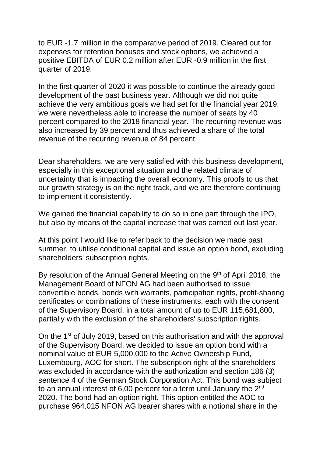to EUR -1.7 million in the comparative period of 2019. Cleared out for expenses for retention bonuses and stock options, we achieved a positive EBITDA of EUR 0.2 million after EUR -0.9 million in the first quarter of 2019.

In the first quarter of 2020 it was possible to continue the already good development of the past business year. Although we did not quite achieve the very ambitious goals we had set for the financial year 2019, we were nevertheless able to increase the number of seats by 40 percent compared to the 2018 financial year. The recurring revenue was also increased by 39 percent and thus achieved a share of the total revenue of the recurring revenue of 84 percent.

Dear shareholders, we are very satisfied with this business development, especially in this exceptional situation and the related climate of uncertainty that is impacting the overall economy. This proofs to us that our growth strategy is on the right track, and we are therefore continuing to implement it consistently.

We gained the financial capability to do so in one part through the IPO, but also by means of the capital increase that was carried out last year.

At this point I would like to refer back to the decision we made past summer, to utilise conditional capital and issue an option bond, excluding shareholders' subscription rights.

By resolution of the Annual General Meeting on the 9<sup>th</sup> of April 2018, the Management Board of NFON AG had been authorised to issue convertible bonds, bonds with warrants, participation rights, profit-sharing certificates or combinations of these instruments, each with the consent of the Supervisory Board, in a total amount of up to EUR 115,681,800, partially with the exclusion of the shareholders' subscription rights.

On the 1<sup>st</sup> of July 2019, based on this authorisation and with the approval of the Supervisory Board, we decided to issue an option bond with a nominal value of EUR 5,000,000 to the Active Ownership Fund, Luxembourg, AOC for short. The subscription right of the shareholders was excluded in accordance with the authorization and section 186 (3) sentence 4 of the German Stock Corporation Act. This bond was subject to an annual interest of 6,00 percent for a term until January the 2<sup>nd</sup> 2020. The bond had an option right. This option entitled the AOC to purchase 964.015 NFON AG bearer shares with a notional share in the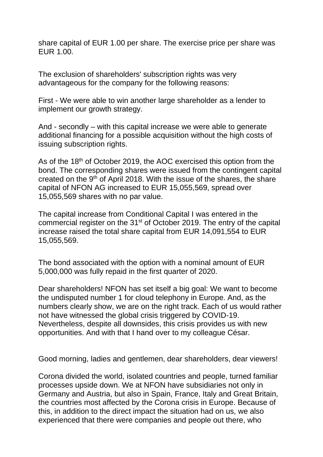share capital of EUR 1.00 per share. The exercise price per share was EUR 1.00.

The exclusion of shareholders' subscription rights was very advantageous for the company for the following reasons:

First - We were able to win another large shareholder as a lender to implement our growth strategy.

And - secondly – with this capital increase we were able to generate additional financing for a possible acquisition without the high costs of issuing subscription rights.

As of the 18<sup>th</sup> of October 2019, the AOC exercised this option from the bond. The corresponding shares were issued from the contingent capital created on the  $9<sup>th</sup>$  of April 2018. With the issue of the shares, the share capital of NFON AG increased to EUR 15,055,569, spread over 15,055,569 shares with no par value.

The capital increase from Conditional Capital I was entered in the commercial register on the 31<sup>st</sup> of October 2019. The entry of the capital increase raised the total share capital from EUR 14,091,554 to EUR 15,055,569.

The bond associated with the option with a nominal amount of EUR 5,000,000 was fully repaid in the first quarter of 2020.

Dear shareholders! NFON has set itself a big goal: We want to become the undisputed number 1 for cloud telephony in Europe. And, as the numbers clearly show, we are on the right track. Each of us would rather not have witnessed the global crisis triggered by COVID-19. Nevertheless, despite all downsides, this crisis provides us with new opportunities. And with that I hand over to my colleague César.

Good morning, ladies and gentlemen, dear shareholders, dear viewers!

Corona divided the world, isolated countries and people, turned familiar processes upside down. We at NFON have subsidiaries not only in Germany and Austria, but also in Spain, France, Italy and Great Britain, the countries most affected by the Corona crisis in Europe. Because of this, in addition to the direct impact the situation had on us, we also experienced that there were companies and people out there, who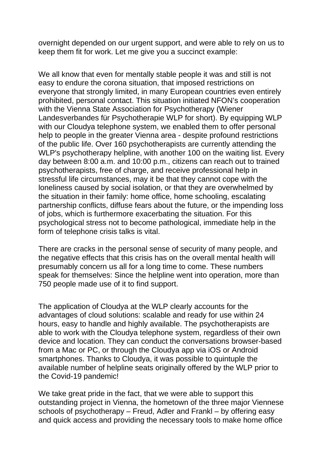overnight depended on our urgent support, and were able to rely on us to keep them fit for work. Let me give you a succinct example:

We all know that even for mentally stable people it was and still is not easy to endure the corona situation, that imposed restrictions on everyone that strongly limited, in many European countries even entirely prohibited, personal contact. This situation initiated NFON's cooperation with the Vienna State Association for Psychotherapy (Wiener Landesverbandes für Psychotherapie WLP for short). By equipping WLP with our Cloudya telephone system, we enabled them to offer personal help to people in the greater Vienna area - despite profound restrictions of the public life. Over 160 psychotherapists are currently attending the WLP's psychotherapy helpline, with another 100 on the waiting list. Every day between 8:00 a.m. and 10:00 p.m., citizens can reach out to trained psychotherapists, free of charge, and receive professional help in stressful life circumstances, may it be that they cannot cope with the loneliness caused by social isolation, or that they are overwhelmed by the situation in their family: home office, home schooling, escalating partnership conflicts, diffuse fears about the future, or the impending loss of jobs, which is furthermore exacerbating the situation. For this psychological stress not to become pathological, immediate help in the form of telephone crisis talks is vital.

There are cracks in the personal sense of security of many people, and the negative effects that this crisis has on the overall mental health will presumably concern us all for a long time to come. These numbers speak for themselves: Since the helpline went into operation, more than 750 people made use of it to find support.

The application of Cloudya at the WLP clearly accounts for the advantages of cloud solutions: scalable and ready for use within 24 hours, easy to handle and highly available. The psychotherapists are able to work with the Cloudya telephone system, regardless of their own device and location. They can conduct the conversations browser-based from a Mac or PC, or through the Cloudya app via iOS or Android smartphones. Thanks to Cloudya, it was possible to quintuple the available number of helpline seats originally offered by the WLP prior to the Covid-19 pandemic!

We take great pride in the fact, that we were able to support this outstanding project in Vienna, the hometown of the three major Viennese schools of psychotherapy – Freud, Adler and Frankl – by offering easy and quick access and providing the necessary tools to make home office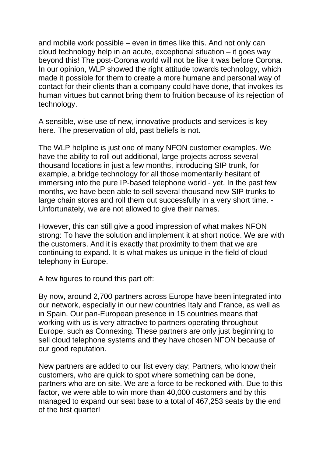and mobile work possible – even in times like this. And not only can cloud technology help in an acute, exceptional situation – it goes way beyond this! The post-Corona world will not be like it was before Corona. In our opinion, WLP showed the right attitude towards technology, which made it possible for them to create a more humane and personal way of contact for their clients than a company could have done, that invokes its human virtues but cannot bring them to fruition because of its rejection of technology.

A sensible, wise use of new, innovative products and services is key here. The preservation of old, past beliefs is not.

The WLP helpline is just one of many NFON customer examples. We have the ability to roll out additional, large projects across several thousand locations in just a few months, introducing SIP trunk, for example, a bridge technology for all those momentarily hesitant of immersing into the pure IP-based telephone world - yet. In the past few months, we have been able to sell several thousand new SIP trunks to large chain stores and roll them out successfully in a very short time. - Unfortunately, we are not allowed to give their names.

However, this can still give a good impression of what makes NFON strong: To have the solution and implement it at short notice. We are with the customers. And it is exactly that proximity to them that we are continuing to expand. It is what makes us unique in the field of cloud telephony in Europe.

A few figures to round this part off:

By now, around 2,700 partners across Europe have been integrated into our network, especially in our new countries Italy and France, as well as in Spain. Our pan-European presence in 15 countries means that working with us is very attractive to partners operating throughout Europe, such as Connexing. These partners are only just beginning to sell cloud telephone systems and they have chosen NFON because of our good reputation.

New partners are added to our list every day; Partners, who know their customers, who are quick to spot where something can be done, partners who are on site. We are a force to be reckoned with. Due to this factor, we were able to win more than 40,000 customers and by this managed to expand our seat base to a total of 467,253 seats by the end of the first quarter!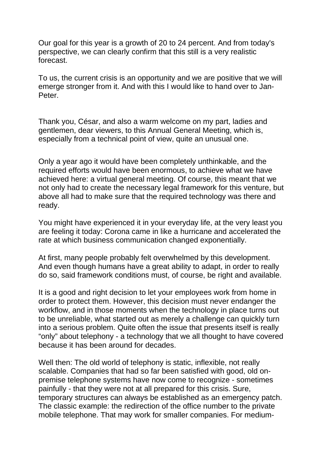Our goal for this year is a growth of 20 to 24 percent. And from today's perspective, we can clearly confirm that this still is a very realistic forecast.

To us, the current crisis is an opportunity and we are positive that we will emerge stronger from it. And with this I would like to hand over to Jan-Peter.

Thank you, César, and also a warm welcome on my part, ladies and gentlemen, dear viewers, to this Annual General Meeting, which is, especially from a technical point of view, quite an unusual one.

Only a year ago it would have been completely unthinkable, and the required efforts would have been enormous, to achieve what we have achieved here: a virtual general meeting. Of course, this meant that we not only had to create the necessary legal framework for this venture, but above all had to make sure that the required technology was there and ready.

You might have experienced it in your everyday life, at the very least you are feeling it today: Corona came in like a hurricane and accelerated the rate at which business communication changed exponentially.

At first, many people probably felt overwhelmed by this development. And even though humans have a great ability to adapt, in order to really do so, said framework conditions must, of course, be right and available.

It is a good and right decision to let your employees work from home in order to protect them. However, this decision must never endanger the workflow, and in those moments when the technology in place turns out to be unreliable, what started out as merely a challenge can quickly turn into a serious problem. Quite often the issue that presents itself is really "only" about telephony - a technology that we all thought to have covered because it has been around for decades.

Well then: The old world of telephony is static, inflexible, not really scalable. Companies that had so far been satisfied with good, old onpremise telephone systems have now come to recognize - sometimes painfully - that they were not at all prepared for this crisis. Sure, temporary structures can always be established as an emergency patch. The classic example: the redirection of the office number to the private mobile telephone. That may work for smaller companies. For medium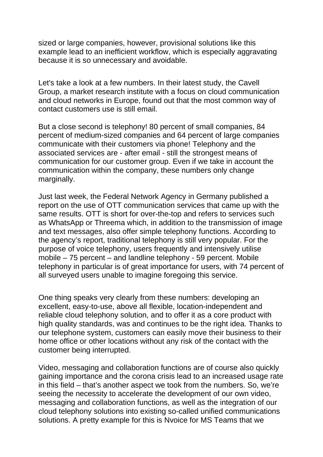sized or large companies, however, provisional solutions like this example lead to an inefficient workflow, which is especially aggravating because it is so unnecessary and avoidable.

Let's take a look at a few numbers. In their latest study, the Cavell Group, a market research institute with a focus on cloud communication and cloud networks in Europe, found out that the most common way of contact customers use is still email.

But a close second is telephony! 80 percent of small companies, 84 percent of medium-sized companies and 64 percent of large companies communicate with their customers via phone! Telephony and the associated services are - after email - still the strongest means of communication for our customer group. Even if we take in account the communication within the company, these numbers only change marginally.

Just last week, the Federal Network Agency in Germany published a report on the use of OTT communication services that came up with the same results. OTT is short for over-the-top and refers to services such as WhatsApp or Threema which, in addition to the transmission of image and text messages, also offer simple telephony functions. According to the agency's report, traditional telephony is still very popular. For the purpose of voice telephony, users frequently and intensively utilise mobile – 75 percent – and landline telephony - 59 percent. Mobile telephony in particular is of great importance for users, with 74 percent of all surveyed users unable to imagine foregoing this service.

One thing speaks very clearly from these numbers: developing an excellent, easy-to-use, above all flexible, location-independent and reliable cloud telephony solution, and to offer it as a core product with high quality standards, was and continues to be the right idea. Thanks to our telephone system, customers can easily move their business to their home office or other locations without any risk of the contact with the customer being interrupted.

Video, messaging and collaboration functions are of course also quickly gaining importance and the corona crisis lead to an increased usage rate in this field – that's another aspect we took from the numbers. So, we're seeing the necessity to accelerate the development of our own video, messaging and collaboration functions, as well as the integration of our cloud telephony solutions into existing so-called unified communications solutions. A pretty example for this is Nvoice for MS Teams that we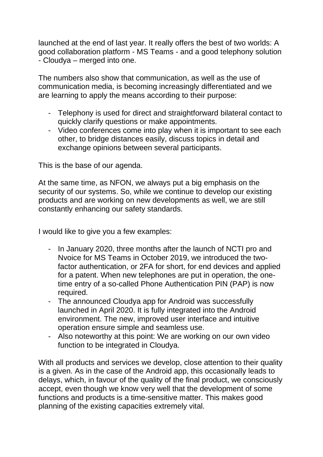launched at the end of last year. It really offers the best of two worlds: A good collaboration platform - MS Teams - and a good telephony solution - Cloudya – merged into one.

The numbers also show that communication, as well as the use of communication media, is becoming increasingly differentiated and we are learning to apply the means according to their purpose:

- Telephony is used for direct and straightforward bilateral contact to quickly clarify questions or make appointments.
- Video conferences come into play when it is important to see each other, to bridge distances easily, discuss topics in detail and exchange opinions between several participants.

This is the base of our agenda.

At the same time, as NFON, we always put a big emphasis on the security of our systems. So, while we continue to develop our existing products and are working on new developments as well, we are still constantly enhancing our safety standards.

I would like to give you a few examples:

- In January 2020, three months after the launch of NCTI pro and Nvoice for MS Teams in October 2019, we introduced the twofactor authentication, or 2FA for short, for end devices and applied for a patent. When new telephones are put in operation, the onetime entry of a so-called Phone Authentication PIN (PAP) is now required.
- The announced Cloudya app for Android was successfully launched in April 2020. It is fully integrated into the Android environment. The new, improved user interface and intuitive operation ensure simple and seamless use.
- Also noteworthy at this point: We are working on our own video function to be integrated in Cloudya.

With all products and services we develop, close attention to their quality is a given. As in the case of the Android app, this occasionally leads to delays, which, in favour of the quality of the final product, we consciously accept, even though we know very well that the development of some functions and products is a time-sensitive matter. This makes good planning of the existing capacities extremely vital.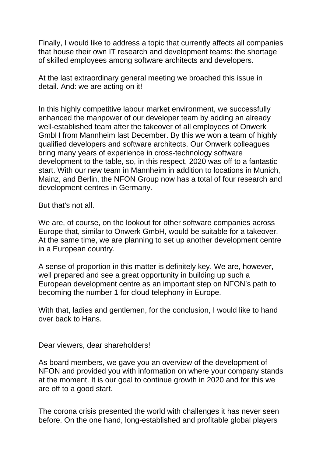Finally, I would like to address a topic that currently affects all companies that house their own IT research and development teams: the shortage of skilled employees among software architects and developers.

At the last extraordinary general meeting we broached this issue in detail. And: we are acting on it!

In this highly competitive labour market environment, we successfully enhanced the manpower of our developer team by adding an already well-established team after the takeover of all employees of Onwerk GmbH from Mannheim last December. By this we won a team of highly qualified developers and software architects. Our Onwerk colleagues bring many years of experience in cross-technology software development to the table, so, in this respect, 2020 was off to a fantastic start. With our new team in Mannheim in addition to locations in Munich, Mainz, and Berlin, the NFON Group now has a total of four research and development centres in Germany.

But that's not all.

We are, of course, on the lookout for other software companies across Europe that, similar to Onwerk GmbH, would be suitable for a takeover. At the same time, we are planning to set up another development centre in a European country.

A sense of proportion in this matter is definitely key. We are, however, well prepared and see a great opportunity in building up such a European development centre as an important step on NFON's path to becoming the number 1 for cloud telephony in Europe.

With that, ladies and gentlemen, for the conclusion, I would like to hand over back to Hans.

Dear viewers, dear shareholders!

As board members, we gave you an overview of the development of NFON and provided you with information on where your company stands at the moment. It is our goal to continue growth in 2020 and for this we are off to a good start.

The corona crisis presented the world with challenges it has never seen before. On the one hand, long-established and profitable global players